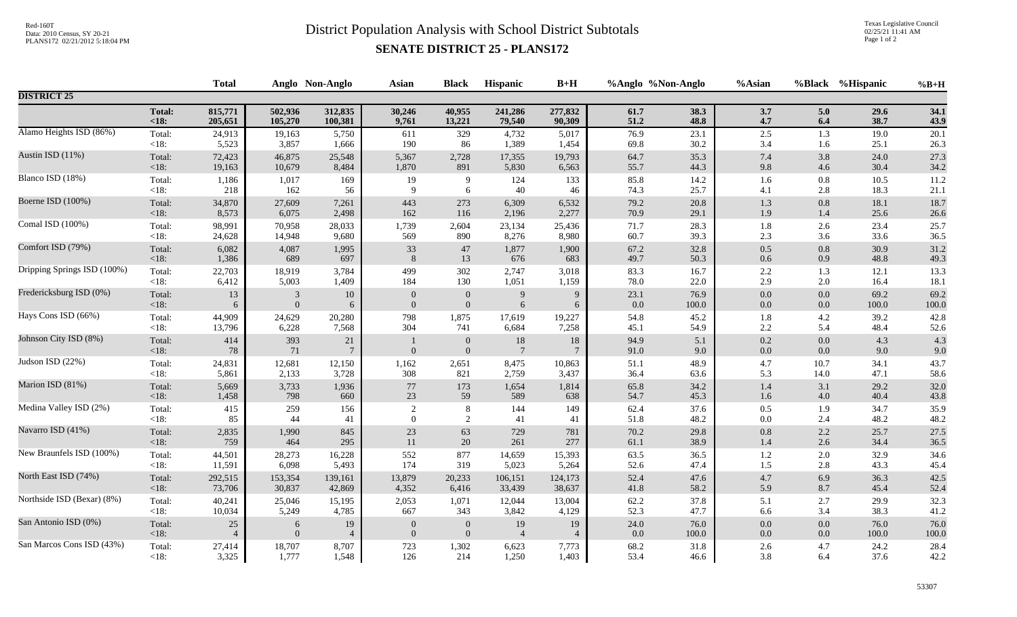## Red-160T<br>District Population Analysis with School District Subtotals

Texas Legislative Council 02/25/21 11:41 AM Page 1 of 2

## **SENATE DISTRICT 25 - PLANS172**

|                             |                 | <b>Total</b>   | Anglo Non-Anglo |                          | <b>Asian</b>     | <b>Black</b>                         | Hispanic                  | $B+H$                    | %Anglo %Non-Anglo |            | %Asian             |                | %Black %Hispanic | $%B+H$     |
|-----------------------------|-----------------|----------------|-----------------|--------------------------|------------------|--------------------------------------|---------------------------|--------------------------|-------------------|------------|--------------------|----------------|------------------|------------|
| <b>DISTRICT 25</b>          |                 |                |                 |                          |                  |                                      |                           |                          |                   |            |                    |                |                  |            |
|                             | <b>Total:</b>   | 815,771        | 502,936         | 312,835                  | 30,246           | 40,955                               | 241,286                   | 277,832                  | 61.7              | 38.3       | 3.7                | 5.0            | 29.6             | 34.1       |
|                             | $18:$           | 205,651        | 105,270         | 100,381                  | 9,761            | 13,221                               | 79,540                    | 90,309                   | 51.2              | 48.8       | 4.7                | 6.4            | 38.7             | 43.9       |
| Alamo Heights ISD (86%)     | Total:          | 24,913         | 19,163          | 5,750                    | 611              | 329                                  | 4,732                     | 5,017                    | 76.9              | 23.1       | $2.5\,$            | 1.3            | 19.0             | 20.1       |
|                             | <18:            | 5,523          | 3,857           | 1,666                    | 190              | 86                                   | 1,389                     | 1,454                    | 69.8              | 30.2       | 3.4                | 1.6            | 25.1             | 26.3       |
| Austin ISD (11%)            | Total:          | 72,423         | 46,875          | 25,548                   | 5,367            | 2,728                                | 17,355                    | 19,793                   | 64.7              | 35.3       | $7.4\,$            | 3.8            | 24.0             | 27.3       |
|                             | $<18$ :         | 19,163         | 10,679          | 8,484                    | 1,870            | 891                                  | 5,830                     | 6,563                    | 55.7              | 44.3       | 9.8                | 4.6            | 30.4             | 34.2       |
| Blanco ISD (18%)            | Total:          | 1,186          | 1,017           | 169                      | 19               | 9                                    | 124                       | 133                      | 85.8              | 14.2       | 1.6                | 0.8            | 10.5             | 11.2       |
|                             | $<18$ :         | 218            | 162             | 56                       | 9                | 6                                    | 40                        | 46                       | 74.3              | 25.7       | 4.1                | 2.8            | 18.3             | 21.1       |
| Boerne ISD (100%)           | Total:          | 34,870         | 27,609          | 7,261                    | 443              | 273                                  | 6,309                     | 6,532                    | 79.2              | 20.8       | $1.3\,$            | $0.8\,$        | 18.1             | 18.7       |
|                             | < 18:           | 8,573          | 6,075           | 2,498                    | 162              | 116                                  | 2,196                     | 2,277                    | 70.9              | 29.1       | 1.9                | 1.4            | 25.6             | 26.6       |
| Comal ISD (100%)            | Total:          | 98,991         | 70,958          | 28,033                   | 1,739            | 2,604                                | 23,134                    | 25,436                   | 71.7              | 28.3       | 1.8                | 2.6            | 23.4             | 25.7       |
|                             | $<18$ :         | 24,628         | 14,948          | 9,680                    | 569              | 890                                  | 8,276                     | 8,980                    | 60.7              | 39.3       | $2.3\,$            | 3.6            | 33.6             | 36.5       |
| Comfort ISD (79%)           | Total:          | 6,082          | 4,087           | 1,995                    | 33               | 47                                   | 1,877                     | 1,900                    | 67.2              | 32.8       | $0.5\,$            | $0.8\,$        | 30.9             | 31.2       |
|                             | < 18:           | 1,386          | 689             | 697                      | 8                | 13                                   | 676                       | 683                      | 49.7              | 50.3       | 0.6                | 0.9            | 48.8             | 49.3       |
| Dripping Springs ISD (100%) | Total:          | 22,703         | 18,919          | 3,784                    | 499              | 302                                  | 2,747                     | 3,018                    | 83.3              | 16.7       | 2.2                | 1.3            | 12.1             | 13.3       |
|                             | <18:            | 6,412          | 5,003           | 1,409                    | 184              | 130                                  | 1,051                     | 1,159                    | 78.0              | 22.0       | 2.9                | 2.0            | 16.4             | 18.1       |
| Fredericksburg ISD (0%)     | Total:          | 13             | 3               | 10                       | $\overline{0}$   | $\theta$                             | 9                         | 9                        | 23.1              | 76.9       | $0.0\,$            | 0.0            | 69.2             | 69.2       |
|                             | < 18:           | 6              | $\overline{0}$  | 6                        | $\overline{0}$   | $\mathbf{0}$                         | 6                         | 6                        | 0.0               | 100.0      | $0.0\,$            | 0.0            | 100.0            | $100.0\,$  |
| Hays Cons ISD (66%)         | Total:          | 44,909         | 24,629          | 20,280                   | 798              | 1,875                                | 17,619                    | 19,227                   | 54.8              | 45.2       | 1.8                | 4.2            | 39.2             | 42.8       |
|                             | $<18$ :         | 13,796         | 6,228           | 7,568                    | 304              | 741                                  | 6,684                     | 7,258                    | 45.1              | 54.9       | $2.2\,$            | 5.4            | 48.4             | 52.6       |
| Johnson City ISD (8%)       | Total:<br>< 18: | 414<br>$78\,$  | 393<br>71       | $21\,$<br>$\overline{7}$ | $\mathbf{0}$     | $\boldsymbol{0}$<br>$\boldsymbol{0}$ | $18\,$<br>$7\phantom{.0}$ | $18\,$<br>$\overline{7}$ | 94.9<br>91.0      | 5.1<br>9.0 | $0.2\,$<br>$0.0\,$ | 0.0<br>$0.0\,$ | 4.3<br>9.0       | 4.3<br>9.0 |
| Judson ISD (22%)            | Total:          | 24,831         | 12,681          | 12,150                   | 1,162            | 2,651                                | 8,475                     | 10,863                   | 51.1              | 48.9       | $4.7\,$            | 10.7           | 34.1             | 43.7       |
|                             | $<18$ :         | 5,861          | 2,133           | 3,728                    | 308              | 821                                  | 2,759                     | 3,437                    | 36.4              | 63.6       | 5.3                | 14.0           | 47.1             | 58.6       |
| Marion ISD (81%)            | Total:          | 5,669          | 3,733           | 1,936                    | 77               | 173                                  | 1,654                     | 1,814                    | 65.8              | 34.2       | 1.4                | 3.1            | 29.2             | 32.0       |
|                             | < 18:           | 1,458          | 798             | 660                      | 23               | 59                                   | 589                       | 638                      | 54.7              | 45.3       | 1.6                | $4.0\,$        | 40.4             | 43.8       |
| Medina Valley ISD (2%)      | Total:          | 415            | 259             | 156                      | $\sqrt{2}$       | $\,8\,$                              | 144                       | 149                      | 62.4              | 37.6       | 0.5                | 1.9            | 34.7             | 35.9       |
|                             | $<18$ :         | 85             | 44              | 41                       | $\overline{0}$   | 2                                    | 41                        | 41                       | 51.8              | 48.2       | 0.0                | 2.4            | 48.2             | 48.2       |
| Navarro ISD (41%)           | Total:          | 2,835          | 1,990           | 845                      | 23               | 63                                   | 729                       | 781                      | 70.2              | 29.8       | 0.8                | 2.2            | 25.7             | 27.5       |
|                             | < 18:           | 759            | 464             | 295                      | 11               | 20                                   | 261                       | 277                      | 61.1              | 38.9       | 1.4                | 2.6            | 34.4             | 36.5       |
| New Braunfels ISD (100%)    | Total:          | 44,501         | 28,273          | 16,228                   | 552              | 877                                  | 14,659                    | 15,393                   | 63.5              | 36.5       | 1.2                | $2.0\,$        | 32.9             | 34.6       |
|                             | $<18$ :         | 11,591         | 6,098           | 5,493                    | 174              | 319                                  | 5,023                     | 5,264                    | 52.6              | 47.4       | 1.5                | 2.8            | 43.3             | 45.4       |
| North East ISD (74%)        | Total:          | 292,515        | 153,354         | 139,161                  | 13,879           | 20,233                               | 106,151                   | 124,173                  | 52.4              | 47.6       | $4.7\,$            | 6.9            | 36.3             | 42.5       |
|                             | $<18$ :         | 73,706         | 30,837          | 42,869                   | 4,352            | 6,416                                | 33,439                    | 38,637                   | 41.8              | 58.2       | 5.9                | 8.7            | 45.4             | 52.4       |
| Northside ISD (Bexar) (8%)  | Total:          | 40,241         | 25,046          | 15,195                   | 2,053            | 1,071                                | 12,044                    | 13,004                   | 62.2              | 37.8       | 5.1                | 2.7            | 29.9             | 32.3       |
|                             | $<18$ :         | 10,034         | 5,249           | 4,785                    | 667              | 343                                  | 3,842                     | 4,129                    | 52.3              | 47.7       | 6.6                | 3.4            | 38.3             | 41.2       |
| San Antonio ISD (0%)        | Total:          | $25\,$         | 6               | 19                       | $\boldsymbol{0}$ | $\mathbf{0}$                         | 19                        | 19                       | 24.0              | 76.0       | 0.0                | 0.0            | 76.0             | 76.0       |
|                             | < 18:           | $\overline{4}$ | $\mathbf{0}$    | $\overline{4}$           | $\theta$         | $\boldsymbol{0}$                     | $\overline{4}$            | $\overline{4}$           | 0.0               | $100.0\,$  | $0.0\,$            | 0.0            | 100.0            | 100.0      |
| San Marcos Cons ISD (43%)   | Total:          | 27,414         | 18,707          | 8,707                    | 723              | 1,302                                | 6,623                     | 7,773                    | 68.2              | 31.8       | $2.6\,$            | 4.7            | 24.2             | 28.4       |
|                             | <18:            | 3,325          | 1,777           | 1,548                    | 126              | 214                                  | 1,250                     | 1,403                    | 53.4              | 46.6       | 3.8                | 6.4            | 37.6             | 42.2       |